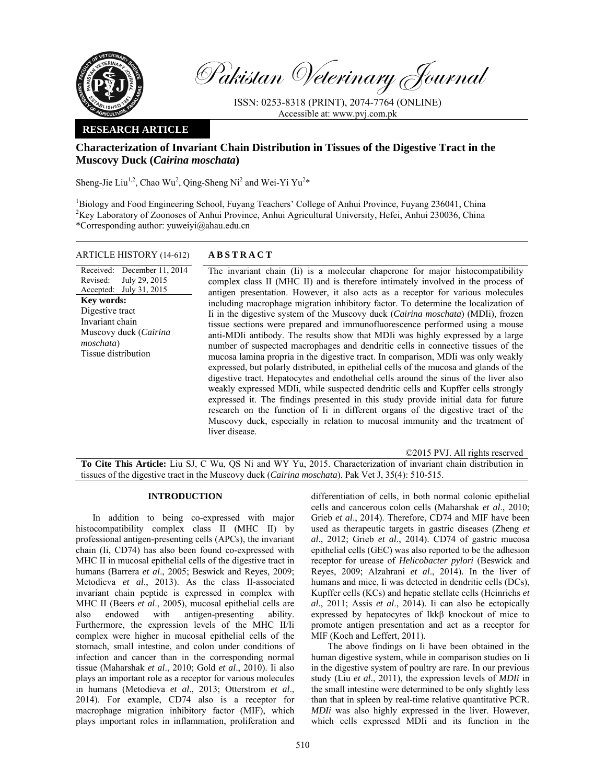

Pakistan Veterinary Journal

ISSN: 0253-8318 (PRINT), 2074-7764 (ONLINE) Accessible at: www.pvj.com.pk

## **RESEARCH ARTICLE**

# **Characterization of Invariant Chain Distribution in Tissues of the Digestive Tract in the Muscovy Duck (***Cairina moschata***)**

Sheng-Jie Liu<sup>1,2</sup>, Chao Wu<sup>2</sup>, Qing-Sheng Ni<sup>2</sup> and Wei-Yi Yu<sup>2\*</sup>

<sup>1</sup>Biology and Food Engineering School, Fuyang Teachers' College of Anhui Province, Fuyang 236041, China <sup>2</sup>Key Laboratory of Zoonoses of Anhui Province, Anhui Agricultural University, Hefei, Anhui 230036, China \*Corresponding author: yuweiyi@ahau.edu.cn

### ARTICLE HISTORY (14-612) **ABSTRACT**

Received: Revised: Accepted: July 31, 2015 December 11, 2014 July 29, 2015 **Key words:**  Digestive tract Invariant chain Muscovy duck (*Cairina moschata*) Tissue distribution

 The invariant chain (Ii) is a molecular chaperone for major histocompatibility complex class II (MHC II) and is therefore intimately involved in the process of antigen presentation. However, it also acts as a receptor for various molecules including macrophage migration inhibitory factor. To determine the localization of Ii in the digestive system of the Muscovy duck (*Cairina moschata*) (MDIi), frozen tissue sections were prepared and immunofluorescence performed using a mouse anti-MDIi antibody. The results show that MDIi was highly expressed by a large number of suspected macrophages and dendritic cells in connective tissues of the mucosa lamina propria in the digestive tract. In comparison, MDIi was only weakly expressed, but polarly distributed, in epithelial cells of the mucosa and glands of the digestive tract. Hepatocytes and endothelial cells around the sinus of the liver also weakly expressed MDIi, while suspected dendritic cells and Kupffer cells strongly expressed it. The findings presented in this study provide initial data for future research on the function of Ii in different organs of the digestive tract of the Muscovy duck, especially in relation to mucosal immunity and the treatment of liver disease.

©2015 PVJ. All rights reserved

**To Cite This Article:** Liu SJ, C Wu, QS Ni and WY Yu, 2015. Characterization of invariant chain distribution in tissues of the digestive tract in the Muscovy duck (*Cairina moschata*). Pak Vet J, 35(4): 510-515.

#### **INTRODUCTION**

In addition to being co-expressed with major histocompatibility complex class II (MHC II) by professional antigen-presenting cells (APCs), the invariant chain (Ii, CD74) has also been found co-expressed with MHC II in mucosal epithelial cells of the digestive tract in humans (Barrera *et al*., 2005; Beswick and Reyes, 2009; Metodieva *et al*., 2013). As the class II-associated invariant chain peptide is expressed in complex with MHC II (Beers *et al*., 2005), mucosal epithelial cells are also endowed with antigen-presenting ability. Furthermore, the expression levels of the MHC II/Ii complex were higher in mucosal epithelial cells of the stomach, small intestine, and colon under conditions of infection and cancer than in the corresponding normal tissue (Maharshak *et al*., 2010; Gold *et al*., 2010). Ii also plays an important role as a receptor for various molecules in humans (Metodieva *et al*., 2013; Otterstrom *et al*., 2014). For example, CD74 also is a receptor for macrophage migration inhibitory factor (MIF), which plays important roles in inflammation, proliferation and

differentiation of cells, in both normal colonic epithelial cells and cancerous colon cells (Maharshak *et al*., 2010; Grieb *et al*., 2014). Therefore, CD74 and MIF have been used as therapeutic targets in gastric diseases (Zheng *et al*., 2012; Grieb *et al*., 2014). CD74 of gastric mucosa epithelial cells (GEC) was also reported to be the adhesion receptor for urease of *Helicobacter pylori* (Beswick and Reyes, 2009; Alzahrani *et al*., 2014)*.* In the liver of humans and mice, Ii was detected in dendritic cells (DCs), Kupffer cells (KCs) and hepatic stellate cells (Heinrichs *et al*., 2011; Assis *et al*., 2014). Ii can also be ectopically expressed by hepatocytes of Ikkβ knockout of mice to promote antigen presentation and act as a receptor for MIF (Koch and Leffert, 2011).

The above findings on Ii have been obtained in the human digestive system, while in comparison studies on Ii in the digestive system of poultry are rare. In our previous study (Liu *et al*., 2011), the expression levels of *MDIi* in the small intestine were determined to be only slightly less than that in spleen by real-time relative quantitative PCR. *MDIi* was also highly expressed in the liver. However, which cells expressed MDIi and its function in the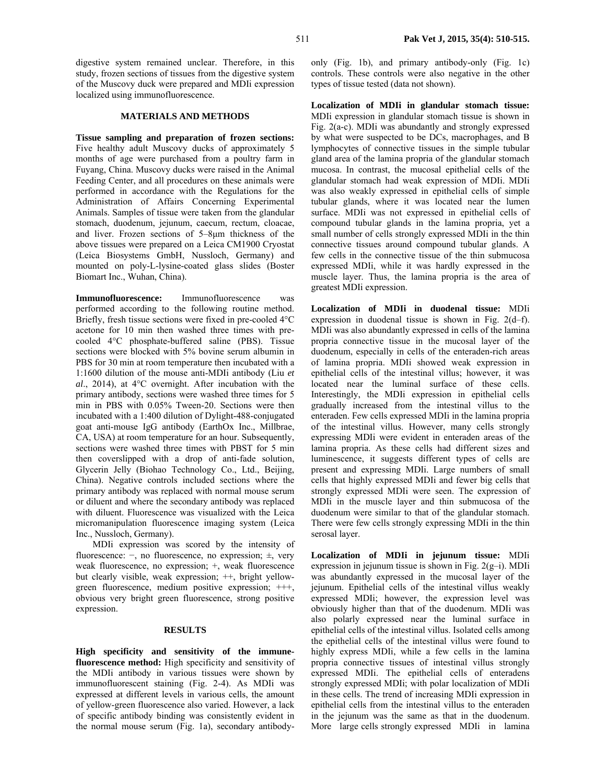digestive system remained unclear. Therefore, in this study, frozen sections of tissues from the digestive system of the Muscovy duck were prepared and MDIi expression localized using immunofluorescence.

#### **MATERIALS AND METHODS**

**Tissue sampling and preparation of frozen sections:**  Five healthy adult Muscovy ducks of approximately 5 months of age were purchased from a poultry farm in Fuyang, China. Muscovy ducks were raised in the Animal Feeding Center, and all procedures on these animals were performed in accordance with the Regulations for the Administration of Affairs Concerning Experimental Animals. Samples of tissue were taken from the glandular stomach, duodenum, jejunum, caecum, rectum, cloacae, and liver. Frozen sections of 5–8µm thickness of the above tissues were prepared on a Leica CM1900 Cryostat (Leica Biosystems GmbH, Nussloch, Germany) and mounted on poly-L-lysine-coated glass slides (Boster Biomart Inc., Wuhan, China).

**Immunofluorescence:** Immunofluorescence was performed according to the following routine method. Briefly, fresh tissue sections were fixed in pre-cooled 4°C acetone for 10 min then washed three times with precooled 4°C phosphate-buffered saline (PBS). Tissue sections were blocked with 5% bovine serum albumin in PBS for 30 min at room temperature then incubated with a 1:1600 dilution of the mouse anti-MDIi antibody (Liu *et al*., 2014), at 4°C overnight. After incubation with the primary antibody, sections were washed three times for 5 min in PBS with 0.05% Tween-20. Sections were then incubated with a 1:400 dilution of Dylight-488-conjugated goat anti-mouse IgG antibody (EarthOx Inc., Millbrae, CA, USA) at room temperature for an hour. Subsequently, sections were washed three times with PBST for 5 min then coverslipped with a drop of anti-fade solution, Glycerin Jelly (Biohao Technology Co., Ltd., Beijing, China). Negative controls included sections where the primary antibody was replaced with normal mouse serum or diluent and where the secondary antibody was replaced with diluent. Fluorescence was visualized with the Leica micromanipulation fluorescence imaging system (Leica Inc., Nussloch, Germany).

MDIi expression was scored by the intensity of fluorescence: −, no fluorescence, no expression; ±, very weak fluorescence, no expression; +, weak fluorescence but clearly visible, weak expression; ++, bright yellowgreen fluorescence, medium positive expression; +++, obvious very bright green fluorescence, strong positive expression.

#### **RESULTS**

**High specificity and sensitivity of the immunefluorescence method:** High specificity and sensitivity of the MDIi antibody in various tissues were shown by immunofluorescent staining (Fig. 2-4). As MDIi was expressed at different levels in various cells, the amount of yellow-green fluorescence also varied. However, a lack of specific antibody binding was consistently evident in the normal mouse serum (Fig. 1a), secondary antibodyonly (Fig. 1b), and primary antibody-only (Fig. 1c) controls. These controls were also negative in the other types of tissue tested (data not shown).

**Localization of MDIi in glandular stomach tissue:**  MDIi expression in glandular stomach tissue is shown in Fig. 2(a-c). MDIi was abundantly and strongly expressed by what were suspected to be DCs, macrophages, and B lymphocytes of connective tissues in the simple tubular gland area of the lamina propria of the glandular stomach mucosa. In contrast, the mucosal epithelial cells of the glandular stomach had weak expression of MDIi. MDIi was also weakly expressed in epithelial cells of simple tubular glands, where it was located near the lumen surface. MDIi was not expressed in epithelial cells of compound tubular glands in the lamina propria, yet a small number of cells strongly expressed MDIi in the thin connective tissues around compound tubular glands. A few cells in the connective tissue of the thin submucosa expressed MDIi, while it was hardly expressed in the muscle layer. Thus, the lamina propria is the area of greatest MDIi expression.

**Localization of MDIi in duodenal tissue:** MDIi expression in duodenal tissue is shown in Fig. 2(d–f). MDIi was also abundantly expressed in cells of the lamina propria connective tissue in the mucosal layer of the duodenum, especially in cells of the enteraden-rich areas of lamina propria. MDIi showed weak expression in epithelial cells of the intestinal villus; however, it was located near the luminal surface of these cells. Interestingly, the MDIi expression in epithelial cells gradually increased from the intestinal villus to the enteraden. Few cells expressed MDIi in the lamina propria of the intestinal villus. However, many cells strongly expressing MDIi were evident in enteraden areas of the lamina propria. As these cells had different sizes and luminescence, it suggests different types of cells are present and expressing MDIi. Large numbers of small cells that highly expressed MDIi and fewer big cells that strongly expressed MDIi were seen. The expression of MDIi in the muscle layer and thin submucosa of the duodenum were similar to that of the glandular stomach. There were few cells strongly expressing MDIi in the thin serosal layer.

**Localization of MDIi in jejunum tissue:** MDIi expression in jejunum tissue is shown in Fig. 2(g–i). MDIi was abundantly expressed in the mucosal layer of the jejunum. Epithelial cells of the intestinal villus weakly expressed MDIi; however, the expression level was obviously higher than that of the duodenum. MDIi was also polarly expressed near the luminal surface in epithelial cells of the intestinal villus. Isolated cells among the epithelial cells of the intestinal villus were found to highly express MDIi, while a few cells in the lamina propria connective tissues of intestinal villus strongly expressed MDIi. The epithelial cells of enteradens strongly expressed MDIi; with polar localization of MDIi in these cells. The trend of increasing MDIi expression in epithelial cells from the intestinal villus to the enteraden in the jejunum was the same as that in the duodenum. More large cells strongly expressed MDIi in lamina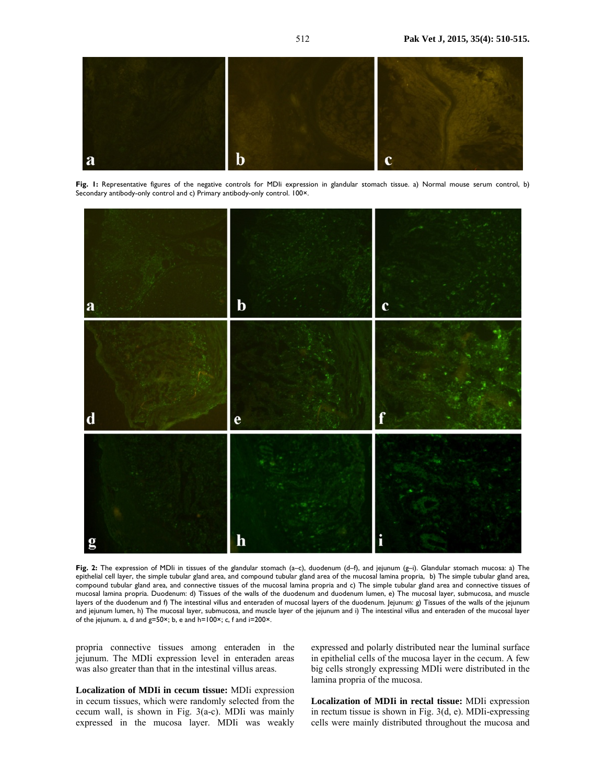

Fig. I: Representative figures of the negative controls for MDIi expression in glandular stomach tissue. a) Normal mouse serum control, b) Secondary antibody-only control and c) Primary antibody-only control. 100×.



**Fig. 2:** The expression of MDIi in tissues of the glandular stomach (a–c), duodenum (d–f), and jejunum (g–i). Glandular stomach mucosa: a) The epithelial cell layer, the simple tubular gland area, and compound tubular gland area of the mucosal lamina propria, b) The simple tubular gland area, compound tubular gland area, and connective tissues of the mucosal lamina propria and c) The simple tubular gland area and connective tissues of mucosal lamina propria. Duodenum: d) Tissues of the walls of the duodenum and duodenum lumen, e) The mucosal layer, submucosa, and muscle layers of the duodenum and f) The intestinal villus and enteraden of mucosal layers of the duodenum. Jejunum: g) Tissues of the walls of the jejunum and jejunum lumen, h) The mucosal layer, submucosa, and muscle layer of the jejunum and i) The intestinal villus and enteraden of the mucosal layer of the jejunum. a, d and g=50×; b, e and h=100×; c, f and i=200×.

propria connective tissues among enteraden in the jejunum. The MDIi expression level in enteraden areas was also greater than that in the intestinal villus areas.

**Localization of MDIi in cecum tissue:** MDIi expression in cecum tissues, which were randomly selected from the cecum wall, is shown in Fig. 3(a-c). MDIi was mainly expressed in the mucosa layer. MDIi was weakly expressed and polarly distributed near the luminal surface in epithelial cells of the mucosa layer in the cecum. A few big cells strongly expressing MDIi were distributed in the lamina propria of the mucosa.

**Localization of MDIi in rectal tissue:** MDIi expression in rectum tissue is shown in Fig. 3(d, e). MDIi-expressing cells were mainly distributed throughout the mucosa and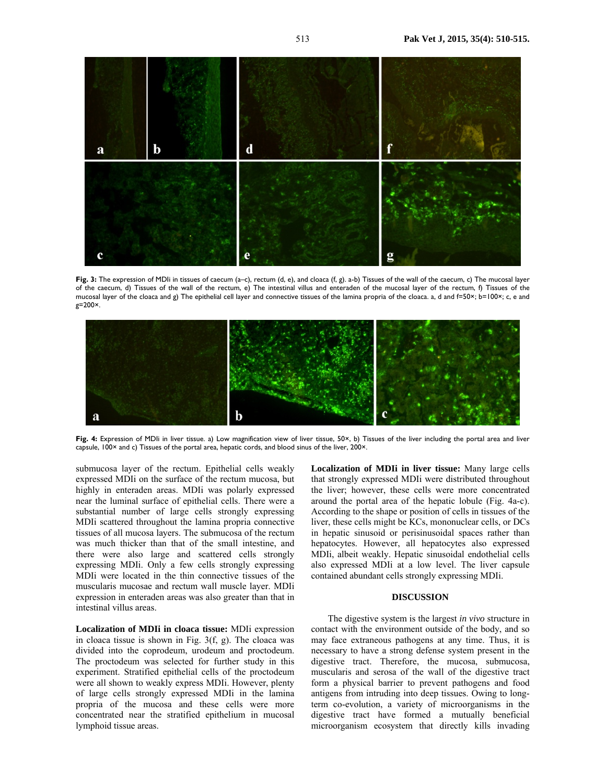

Fig. 3: The expression of MDIi in tissues of caecum (a-c), rectum (d, e), and cloaca (f, g). a-b) Tissues of the wall of the caecum, c) The mucosal layer of the caecum, d) Tissues of the wall of the rectum, e) The intestinal villus and enteraden of the mucosal layer of the rectum, f) Tissues of the mucosal layer of the cloaca and g) The epithelial cell layer and connective tissues of the lamina propria of the cloaca. a, d and f=50×; b=100×; c, e and g=200×.



**Fig. 4:** Expression of MDIi in liver tissue. a) Low magnification view of liver tissue, 50×, b) Tissues of the liver including the portal area and liver capsule, 100× and c) Tissues of the portal area, hepatic cords, and blood sinus of the liver, 200×.

submucosa layer of the rectum. Epithelial cells weakly expressed MDIi on the surface of the rectum mucosa, but highly in enteraden areas. MDIi was polarly expressed near the luminal surface of epithelial cells. There were a substantial number of large cells strongly expressing MDIi scattered throughout the lamina propria connective tissues of all mucosa layers. The submucosa of the rectum was much thicker than that of the small intestine, and there were also large and scattered cells strongly expressing MDIi. Only a few cells strongly expressing MDIi were located in the thin connective tissues of the muscularis mucosae and rectum wall muscle layer. MDIi expression in enteraden areas was also greater than that in intestinal villus areas.

**Localization of MDIi in cloaca tissue:** MDIi expression in cloaca tissue is shown in Fig. 3(f, g). The cloaca was divided into the coprodeum, urodeum and proctodeum. The proctodeum was selected for further study in this experiment. Stratified epithelial cells of the proctodeum were all shown to weakly express MDIi. However, plenty of large cells strongly expressed MDIi in the lamina propria of the mucosa and these cells were more concentrated near the stratified epithelium in mucosal lymphoid tissue areas.

**Localization of MDIi in liver tissue:** Many large cells that strongly expressed MDIi were distributed throughout the liver; however, these cells were more concentrated around the portal area of the hepatic lobule (Fig. 4a-c). According to the shape or position of cells in tissues of the liver, these cells might be KCs, mononuclear cells, or DCs in hepatic sinusoid or perisinusoidal spaces rather than hepatocytes. However, all hepatocytes also expressed MDIi, albeit weakly. Hepatic sinusoidal endothelial cells also expressed MDIi at a low level. The liver capsule contained abundant cells strongly expressing MDIi.

#### **DISCUSSION**

The digestive system is the largest *in vivo* structure in contact with the environment outside of the body, and so may face extraneous pathogens at any time. Thus, it is necessary to have a strong defense system present in the digestive tract. Therefore, the mucosa, submucosa, muscularis and serosa of the wall of the digestive tract form a physical barrier to prevent pathogens and food antigens from intruding into deep tissues. Owing to longterm co-evolution, a variety of microorganisms in the digestive tract have formed a mutually beneficial microorganism ecosystem that directly kills invading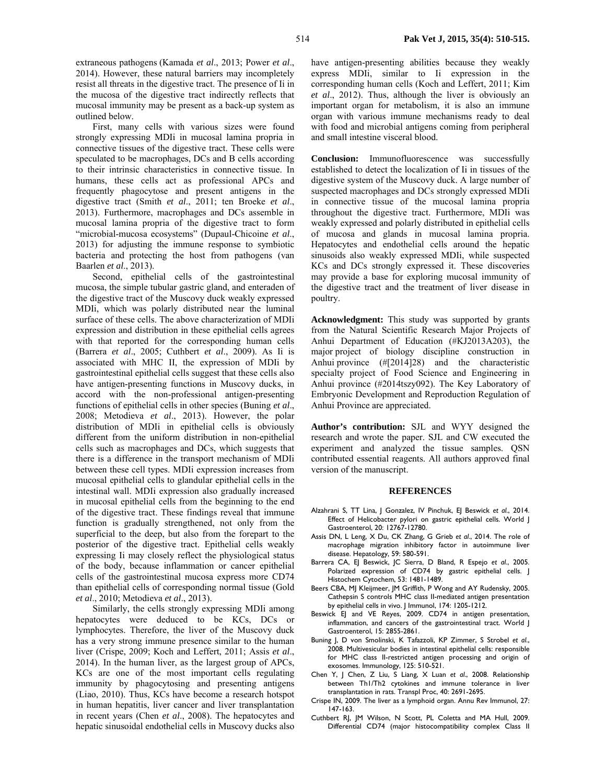extraneous pathogens (Kamada *et al*., 2013; Power *et al*., 2014). However, these natural barriers may incompletely resist all threats in the digestive tract. The presence of Ii in the mucosa of the digestive tract indirectly reflects that mucosal immunity may be present as a back-up system as outlined below.

First, many cells with various sizes were found strongly expressing MDIi in mucosal lamina propria in connective tissues of the digestive tract. These cells were speculated to be macrophages, DCs and B cells according to their intrinsic characteristics in connective tissue. In humans, these cells act as professional APCs and frequently phagocytose and present antigens in the digestive tract (Smith *et al*., 2011; ten Broeke *et al*., 2013). Furthermore, macrophages and DCs assemble in mucosal lamina propria of the digestive tract to form "microbial-mucosa ecosystems" (Dupaul-Chicoine *et al*., 2013) for adjusting the immune response to symbiotic bacteria and protecting the host from pathogens (van Baarlen *et al*., 2013).

Second, epithelial cells of the gastrointestinal mucosa, the simple tubular gastric gland, and enteraden of the digestive tract of the Muscovy duck weakly expressed MDIi, which was polarly distributed near the luminal surface of these cells. The above characterization of MDIi expression and distribution in these epithelial cells agrees with that reported for the corresponding human cells (Barrera *et al*., 2005; Cuthbert *et al*., 2009). As Ii is associated with MHC II, the expression of MDIi by gastrointestinal epithelial cells suggest that these cells also have antigen-presenting functions in Muscovy ducks, in accord with the non-professional antigen-presenting functions of epithelial cells in other species (Buning *et al*., 2008; Metodieva *et al*., 2013). However, the polar distribution of MDIi in epithelial cells is obviously different from the uniform distribution in non-epithelial cells such as macrophages and DCs, which suggests that there is a difference in the transport mechanism of MDIi between these cell types. MDIi expression increases from mucosal epithelial cells to glandular epithelial cells in the intestinal wall. MDIi expression also gradually increased in mucosal epithelial cells from the beginning to the end of the digestive tract. These findings reveal that immune function is gradually strengthened, not only from the superficial to the deep, but also from the forepart to the posterior of the digestive tract. Epithelial cells weakly expressing Ii may closely reflect the physiological status of the body, because inflammation or cancer epithelial cells of the gastrointestinal mucosa express more CD74 than epithelial cells of corresponding normal tissue (Gold *et al*., 2010; Metodieva *et al*., 2013).

Similarly, the cells strongly expressing MDIi among hepatocytes were deduced to be KCs, DCs or lymphocytes. Therefore, the liver of the Muscovy duck has a very strong immune presence similar to the human liver (Crispe, 2009; Koch and Leffert, 2011; Assis *et al*., 2014). In the human liver, as the largest group of APCs, KCs are one of the most important cells regulating immunity by phagocytosing and presenting antigens (Liao, 2010). Thus, KCs have become a research hotspot in human hepatitis, liver cancer and liver transplantation in recent years (Chen *et al*., 2008). The hepatocytes and hepatic sinusoidal endothelial cells in Muscovy ducks also

have antigen-presenting abilities because they weakly express MDIi, similar to Ii expression in the corresponding human cells (Koch and Leffert, 2011; Kim *et al*., 2012). Thus, although the liver is obviously an important organ for metabolism, it is also an immune organ with various immune mechanisms ready to deal with food and microbial antigens coming from peripheral and small intestine visceral blood.

**Conclusion:** Immunofluorescence was successfully established to detect the localization of Ii in tissues of the digestive system of the Muscovy duck. A large number of suspected macrophages and DCs strongly expressed MDIi in connective tissue of the mucosal lamina propria throughout the digestive tract. Furthermore, MDIi was weakly expressed and polarly distributed in epithelial cells of mucosa and glands in mucosal lamina propria. Hepatocytes and endothelial cells around the hepatic sinusoids also weakly expressed MDIi, while suspected KCs and DCs strongly expressed it. These discoveries may provide a base for exploring mucosal immunity of the digestive tract and the treatment of liver disease in poultry.

**Acknowledgment:** This study was supported by grants from the Natural Scientific Research Major Projects of Anhui Department of Education (#KJ2013A203), the major project of biology discipline construction in Anhui province (#[2014]28) and the characteristic specialty project of Food Science and Engineering in Anhui province (#2014tszy092). The Key Laboratory of Embryonic Development and Reproduction Regulation of Anhui Province are appreciated.

**Author's contribution:** SJL and WYY designed the research and wrote the paper. SJL and CW executed the experiment and analyzed the tissue samples. QSN contributed essential reagents. All authors approved final version of the manuscript.

#### **REFERENCES**

- Alzahrani S, TT Lina, J Gonzalez, IV Pinchuk, EJ Beswick *et al*., 2014. Effect of Helicobacter pylori on gastric epithelial cells. World J Gastroenterol, 20: 12767-12780.
- Assis DN, L Leng, X Du, CK Zhang, G Grieb *et al*., 2014. The role of macrophage migration inhibitory factor in autoimmune liver disease. Hepatology, 59: 580-591.
- Barrera CA, EJ Beswick, JC Sierra, D Bland, R Espejo *et al*., 2005. Polarized expression of CD74 by gastric epithelial cells. J Histochem Cytochem, 53: 1481-1489.
- Beers CBA, MJ Kleijmeer, JM Griffith, P Wong and AY Rudensky, 2005. Cathepsin S controls MHC class II-mediated antigen presentation by epithelial cells in vivo. J Immunol, 174: 1205-1212.
- Beswick EJ and VE Reyes, 2009. CD74 in antigen presentation, inflammation, and cancers of the gastrointestinal tract. World J Gastroenterol, 15: 2855-2861.
- Buning J, D von Smolinski, K Tafazzoli, KP Zimmer, S Strobel *et al*., 2008. Multivesicular bodies in intestinal epithelial cells: responsible for MHC class II-restricted antigen processing and origin of exosomes. Immunology, 125: 510-521.
- Chen Y, J Chen, Z Liu, S Liang, X Luan *et al*., 2008. Relationship between Th1/Th2 cytokines and immune tolerance in liver transplantation in rats. Transpl Proc, 40: 2691-2695.
- Crispe IN, 2009. The liver as a lymphoid organ. Annu Rev Immunol, 27: 147-163.
- Cuthbert RJ, JM Wilson, N Scott, PL Coletta and MA Hull, 2009. Differential CD74 (major histocompatibility complex Class II